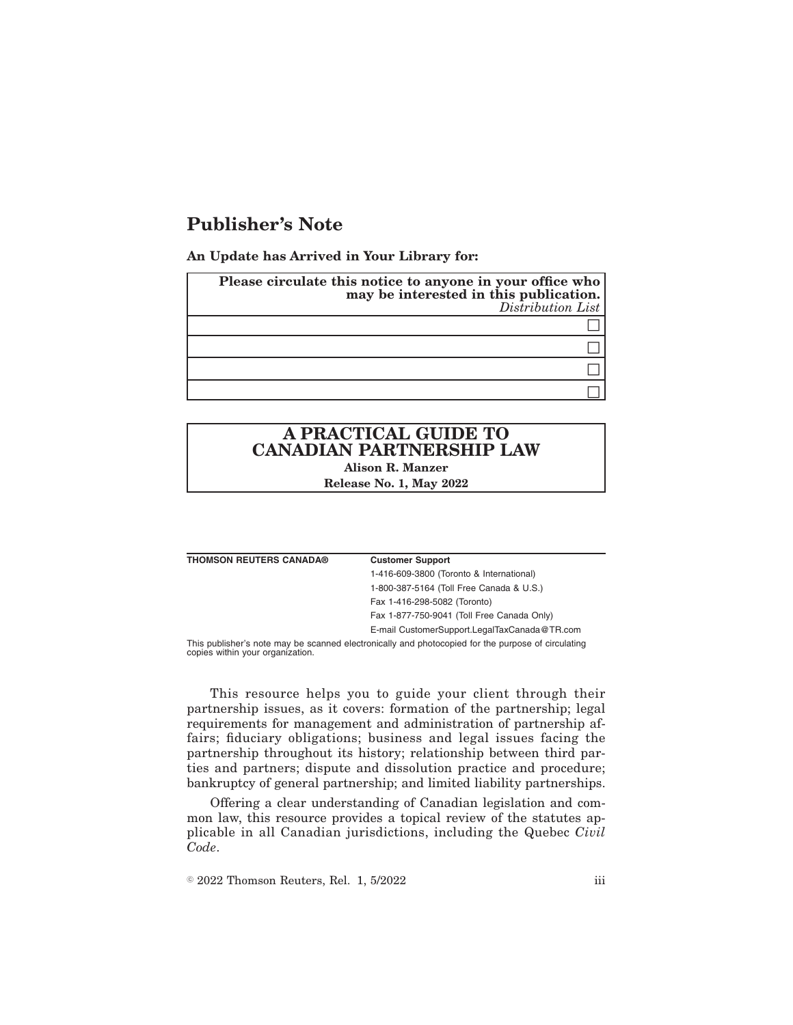## **Publisher's Note**

**An Update has Arrived in Your Library for:**

| Please circulate this notice to anyone in your office who<br>may be interested in this publication.<br>Distribution List |
|--------------------------------------------------------------------------------------------------------------------------|
|                                                                                                                          |
|                                                                                                                          |
|                                                                                                                          |
|                                                                                                                          |
|                                                                                                                          |

# **A PRACTICAL GUIDE TO CANADIAN PARTNERSHIP LAW**

**Alison R. Manzer Release No. 1, May 2022**

#### **Customer Support**

1-416-609-3800 (Toronto & International) 1-800-387-5164 (Toll Free Canada & U.S.) Fax 1-416-298-5082 (Toronto) Fax 1-877-750-9041 (Toll Free Canada Only) E-mail CustomerSupport.LegalTaxCanada@TR.com

This publisher's note may be scanned electronically and photocopied for the purpose of circulating copies within your organization.

This resource helps you to guide your client through their partnership issues, as it covers: formation of the partnership; legal requirements for management and administration of partnership affairs; fiduciary obligations; business and legal issues facing the partnership throughout its history; relationship between third parties and partners; dispute and dissolution practice and procedure; bankruptcy of general partnership; and limited liability partnerships.

Offering a clear understanding of Canadian legislation and common law, this resource provides a topical review of the statutes applicable in all Canadian jurisdictions, including the Quebec *Civil Code*.

 $\textdegree$  2022 Thomson Reuters, Rel. 1, 5/2022 iii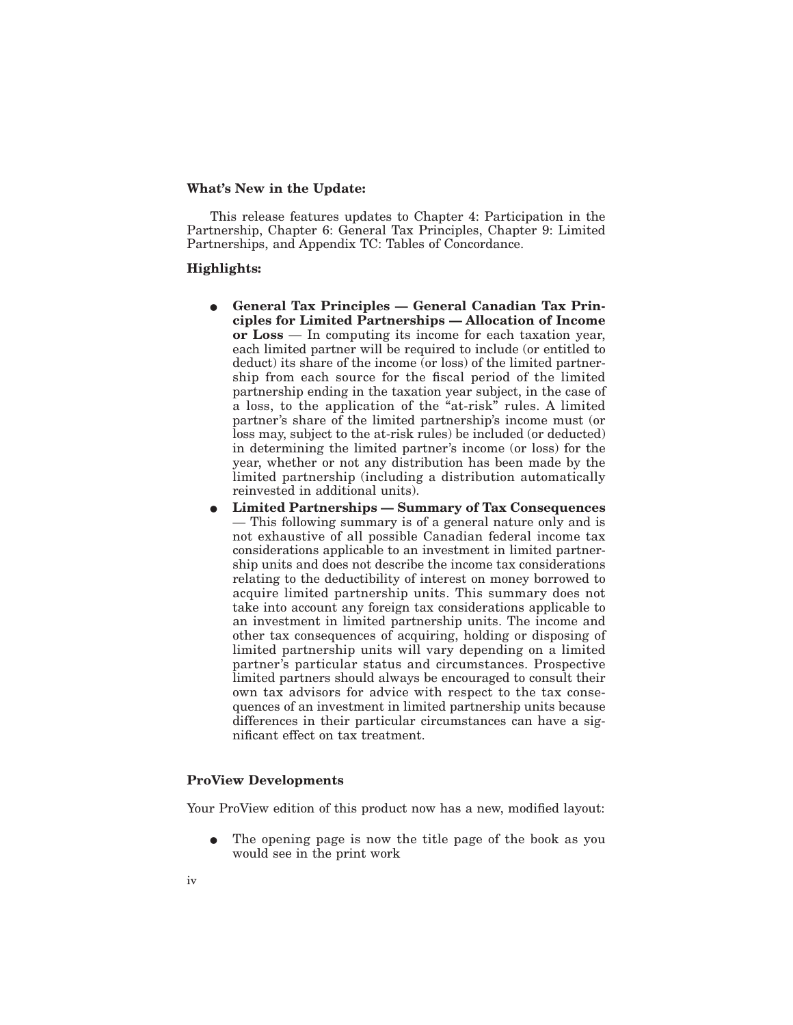### **What's New in the Update:**

This release features updates to Chapter 4: Participation in the Partnership, Chapter 6: General Tax Principles, Chapter 9: Limited Partnerships, and Appendix TC: Tables of Concordance.

#### **Highlights:**

- **General Tax Principles General Canadian Tax Principles for Limited Partnerships — Allocation of Income or Loss** — In computing its income for each taxation year, each limited partner will be required to include (or entitled to deduct) its share of the income (or loss) of the limited partnership from each source for the fiscal period of the limited partnership ending in the taxation year subject, in the case of a loss, to the application of the "at-risk" rules. A limited partner's share of the limited partnership's income must (or loss may, subject to the at-risk rules) be included (or deducted) in determining the limited partner's income (or loss) for the year, whether or not any distribution has been made by the limited partnership (including a distribution automatically reinvested in additional units).
- E **Limited Partnerships Summary of Tax Consequences** — This following summary is of a general nature only and is not exhaustive of all possible Canadian federal income tax considerations applicable to an investment in limited partnership units and does not describe the income tax considerations relating to the deductibility of interest on money borrowed to acquire limited partnership units. This summary does not take into account any foreign tax considerations applicable to an investment in limited partnership units. The income and other tax consequences of acquiring, holding or disposing of limited partnership units will vary depending on a limited partner's particular status and circumstances. Prospective limited partners should always be encouraged to consult their own tax advisors for advice with respect to the tax consequences of an investment in limited partnership units because differences in their particular circumstances can have a significant effect on tax treatment.

### **ProView Developments**

Your ProView edition of this product now has a new, modified layout:

The opening page is now the title page of the book as you would see in the print work